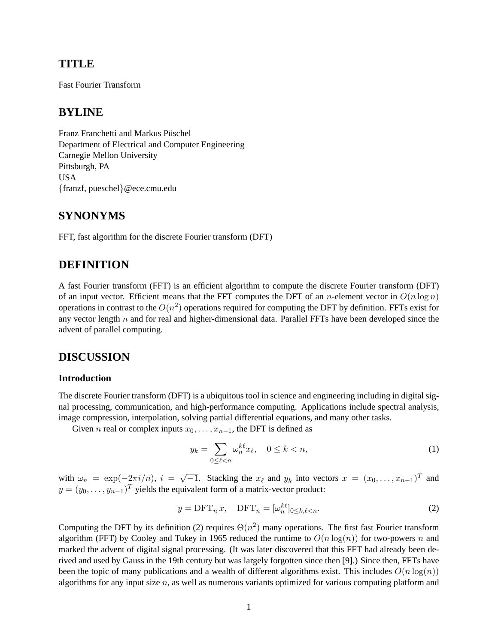# **TITLE**

Fast Fourier Transform

# **BYLINE**

Franz Franchetti and Markus Püschel Department of Electrical and Computer Engineering Carnegie Mellon University Pittsburgh, PA USA {franzf, pueschel}@ece.cmu.edu

# **SYNONYMS**

FFT, fast algorithm for the discrete Fourier transform (DFT)

# **DEFINITION**

A fast Fourier transform (FFT) is an efficient algorithm to compute the discrete Fourier transform (DFT) of an input vector. Efficient means that the FFT computes the DFT of an *n*-element vector in  $O(n \log n)$ operations in contrast to the  $O(n^2)$  operations required for computing the DFT by definition. FFTs exist for any vector length  $n$  and for real and higher-dimensional data. Parallel FFTs have been developed since the advent of parallel computing.

### **DISCUSSION**

#### **Introduction**

The discrete Fourier transform (DFT) is a ubiquitous tool in science and engineering including in digital signal processing, communication, and high-performance computing. Applications include spectral analysis, image compression, interpolation, solving partial differential equations, and many other tasks.

Given *n* real or complex inputs  $x_0, \ldots, x_{n-1}$ , the DFT is defined as

$$
y_k = \sum_{0 \le \ell < n} \omega_n^{k\ell} x_\ell, \quad 0 \le k < n,\tag{1}
$$

with  $\omega_n = \exp(-2\pi i/n)$ ,  $i = \sqrt{-1}$ . Stacking the  $x_\ell$  and  $y_k$  into vectors  $x = (x_0, \dots, x_{n-1})^T$  and  $y = (y_0, \dots, y_{n-1})^T$  yields the equivalent form of a matrix-vector product:

$$
y = \text{DFT}_n x, \quad \text{DFT}_n = [\omega_n^{k\ell}]_{0 \le k, \ell < n}.\tag{2}
$$

Computing the DFT by its definition (2) requires  $\Theta(n^2)$  many operations. The first fast Fourier transform algorithm (FFT) by Cooley and Tukey in 1965 reduced the runtime to  $O(n \log(n))$  for two-powers n and marked the advent of digital signal processing. (It was later discovered that this FFT had already been derived and used by Gauss in the 19th century but was largely forgotten since then [9].) Since then, FFTs have been the topic of many publications and a wealth of different algorithms exist. This includes  $O(n \log(n))$ algorithms for any input size  $n$ , as well as numerous variants optimized for various computing platform and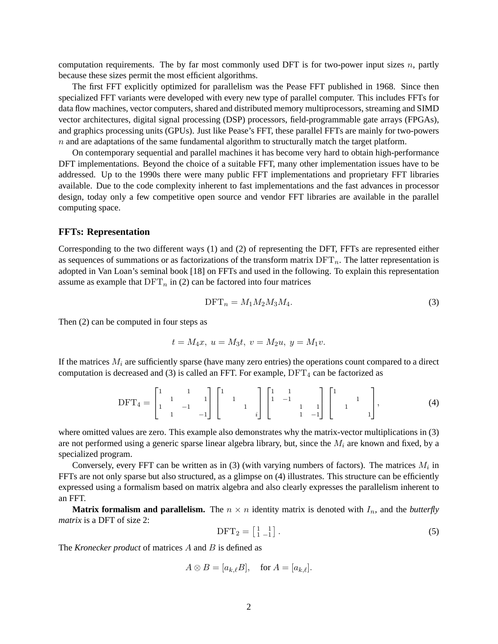computation requirements. The by far most commonly used DFT is for two-power input sizes  $n$ , partly because these sizes permit the most efficient algorithms.

The first FFT explicitly optimized for parallelism was the Pease FFT published in 1968. Since then specialized FFT variants were developed with every new type of parallel computer. This includes FFTs for data flow machines, vector computers, shared and distributed memory multiprocessors, streaming and SIMD vector architectures, digital signal processing (DSP) processors, field-programmable gate arrays (FPGAs), and graphics processing units (GPUs). Just like Pease's FFT, these parallel FFTs are mainly for two-powers  $n$  and are adaptations of the same fundamental algorithm to structurally match the target platform.

On contemporary sequential and parallel machines it has become very hard to obtain high-performance DFT implementations. Beyond the choice of a suitable FFT, many other implementation issues have to be addressed. Up to the 1990s there were many public FFT implementations and proprietary FFT libraries available. Due to the code complexity inherent to fast implementations and the fast advances in processor design, today only a few competitive open source and vendor FFT libraries are available in the parallel computing space.

#### **FFTs: Representation**

Corresponding to the two different ways (1) and (2) of representing the DFT, FFTs are represented either as sequences of summations or as factorizations of the transform matrix  $DFT_n$ . The latter representation is adopted in Van Loan's seminal book [18] on FFTs and used in the following. To explain this representation assume as example that  $DFT_n$  in (2) can be factored into four matrices

$$
\text{DFT}_n = M_1 M_2 M_3 M_4. \tag{3}
$$

Then (2) can be computed in four steps as

$$
t = M_4x, \ u = M_3t, \ v = M_2u, \ y = M_1v.
$$

If the matrices  $M_i$  are sufficiently sparse (have many zero entries) the operations count compared to a direct computation is decreased and (3) is called an FFT. For example,  $DFT_4$  can be factorized as

$$
\text{DFT}_4 = \begin{bmatrix} 1 & 1 & 1 \\ 1 & 1 & -1 & 1 \\ 1 & 1 & -1 & -1 \end{bmatrix} \begin{bmatrix} 1 & 1 & 1 \\ 1 & 1 & 1 \\ 1 & 1 & 1 \end{bmatrix} \begin{bmatrix} 1 & 1 & 1 \\ 1 & -1 & 1 \\ 1 & 1 & -1 \end{bmatrix} \begin{bmatrix} 1 & 1 & 1 \\ 1 & 1 & 1 \\ 1 & 1 & 1 \end{bmatrix},\tag{4}
$$

where omitted values are zero. This example also demonstrates why the matrix-vector multiplications in (3) are not performed using a generic sparse linear algebra library, but, since the  $M_i$  are known and fixed, by a specialized program.

Conversely, every FFT can be written as in (3) (with varying numbers of factors). The matrices  $M_i$  in FFTs are not only sparse but also structured, as a glimpse on (4) illustrates. This structure can be efficiently expressed using a formalism based on matrix algebra and also clearly expresses the parallelism inherent to an FFT.

**Matrix formalism and parallelism.** The  $n \times n$  identity matrix is denoted with  $I_n$ , and the *butterfly matrix* is a DFT of size 2:

$$
DFT_2 = \begin{bmatrix} 1 & 1 \\ 1 & -1 \end{bmatrix} . \tag{5}
$$

The *Kronecker product* of matrices A and B is defined as

$$
A \otimes B = [a_{k,\ell}B], \quad \text{for } A = [a_{k,\ell}].
$$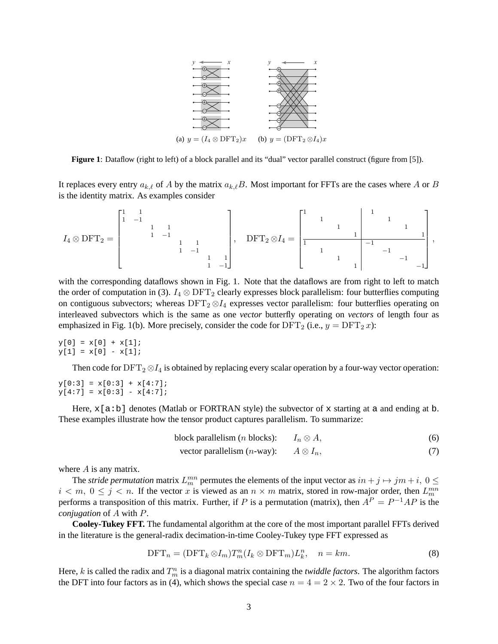

**Figure 1**: Dataflow (right to left) of a block parallel and its "dual" vector parallel construct (figure from [5]).

It replaces every entry  $a_{k,\ell}$  of A by the matrix  $a_{k,\ell}B$ . Most important for FFTs are the cases where A or B is the identity matrix. As examples consider

$$
I_4 \otimes \text{DFT}_2 = \begin{bmatrix} 1 & 1 & & & & & & \\ 1 & -1 & & & & & & \\ & & 1 & 1 & & & & \\ & & & 1 & -1 & & & \\ & & & & 1 & 1 & & \\ & & & & & 1 & -1 & \\ & & & & & & 1 & -1 \end{bmatrix}, \quad \text{DFT}_2 \otimes I_4 = \begin{bmatrix} 1 & & & & & & 1 & & & \\ & 1 & & & & & & & 1 & & \\ & & & 1 & & & & & & 1 & \\ & & & & & 1 & & & & & 1 \\ & & & & & & 1 & & & & -1 & \\ & & & & & & & & 1 & & & -1 \\ & & & & & & & & & 1 & & & -1 \end{bmatrix},
$$

with the corresponding dataflows shown in Fig. 1. Note that the dataflows are from right to left to match the order of computation in (3).  $I_4 \otimes \text{DFT}_2$  clearly expresses block parallelism: four butterflies computing on contiguous subvectors; whereas  $DFT_2 \otimes I_4$  expresses vector parallelism: four butterflies operating on interleaved subvectors which is the same as one *vector* butterfly operating on *vectors* of length four as emphasized in Fig. 1(b). More precisely, consider the code for  $DFT_2$  (i.e.,  $y = DFT_2 x$ ):

 $y[0] = x[0] + x[1];$  $y[1] = x[0] - x[1];$ 

Then code for  $DFT_2 \otimes I_4$  is obtained by replacing every scalar operation by a four-way vector operation:

 $y[0:3] = x[0:3] + x[4:7];$  $y[4:7] = x[0:3] - x[4:7];$ 

Here,  $x[a:b]$  denotes (Matlab or FORTRAN style) the subvector of x starting at a and ending at b. These examples illustrate how the tensor product captures parallelism. To summarize:

block parallelism (*n* blocks):  $I_n \otimes A$ , (6)

vector parallelism 
$$
(n\text{-way})
$$
:  $A \otimes I_n$ , (7)

where  $A$  is any matrix.

The *stride permutation* matrix  $L_m^{mn}$  permutes the elements of the input vector as  $in + j \mapsto jm + i$ ,  $0 \leq$  $i < m, 0 \le j < n$ . If the vector x is viewed as an  $n \times m$  matrix, stored in row-major order, then  $L_m^{mn}$ performs a transposition of this matrix. Further, if P is a permutation (matrix), then  $A^P = P^{-1}AP$  is the *conjugation* of A with P.

**Cooley-Tukey FFT.** The fundamental algorithm at the core of the most important parallel FFTs derived in the literature is the general-radix decimation-in-time Cooley-Tukey type FFT expressed as

$$
\text{DFT}_n = (\text{DFT}_k \otimes I_m) T_m^n (I_k \otimes \text{DFT}_m) L_k^n, \quad n = km. \tag{8}
$$

Here,  $k$  is called the radix and  $T_m^n$  is a diagonal matrix containing the *twiddle factors*. The algorithm factors the DFT into four factors as in (4), which shows the special case  $n = 4 = 2 \times 2$ . Two of the four factors in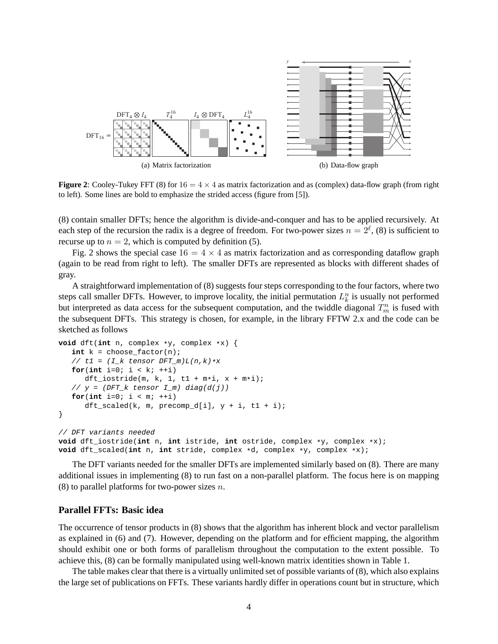

**Figure 2**: Cooley-Tukey FFT (8) for  $16 = 4 \times 4$  as matrix factorization and as (complex) data-flow graph (from right to left). Some lines are bold to emphasize the strided access (figure from [5]).

(8) contain smaller DFTs; hence the algorithm is divide-and-conquer and has to be applied recursively. At each step of the recursion the radix is a degree of freedom. For two-power sizes  $n = 2^{\ell}$ , (8) is sufficient to recurse up to  $n = 2$ , which is computed by definition (5).

Fig. 2 shows the special case  $16 = 4 \times 4$  as matrix factorization and as corresponding dataflow graph (again to be read from right to left). The smaller DFTs are represented as blocks with different shades of gray.

A straightforward implementation of (8) suggests four steps corresponding to the four factors, where two steps call smaller DFTs. However, to improve locality, the initial permutation  $L_k^n$  is usually not performed but interpreted as data access for the subsequent computation, and the twiddle diagonal  $T_m^n$  is fused with the subsequent DFTs. This strategy is chosen, for example, in the library FFTW 2.x and the code can be sketched as follows

```
void dft(int n, complex *y, complex *x) {
   int k = choose_factor(n);
   // t1 = (I_k \text{ tensor } DFT_m)L(n,k) \cdot xfor(int i = 0; i < k; ++i)
      dft\_istride(m, k, 1, t1 + m*i, x + m*i);// y = (DFT_k tensor I_m) diag(d(j))for(int i=0; i < m; ++i)
      dft_scaled(k, m, precomp_d[i], y + i, t1 + i);}
// DFT variants needed
void dft_iostride(int n, int istride, int ostride, complex *y, complex *x);
void dft_scaled(int n, int stride, complex *d, complex *y, complex *x);
```
The DFT variants needed for the smaller DFTs are implemented similarly based on (8). There are many additional issues in implementing (8) to run fast on a non-parallel platform. The focus here is on mapping (8) to parallel platforms for two-power sizes  $n$ .

### **Parallel FFTs: Basic idea**

The occurrence of tensor products in (8) shows that the algorithm has inherent block and vector parallelism as explained in (6) and (7). However, depending on the platform and for efficient mapping, the algorithm should exhibit one or both forms of parallelism throughout the computation to the extent possible. To achieve this, (8) can be formally manipulated using well-known matrix identities shown in Table 1.

The table makes clear that there is a virtually unlimited set of possible variants of (8), which also explains the large set of publications on FFTs. These variants hardly differ in operations count but in structure, which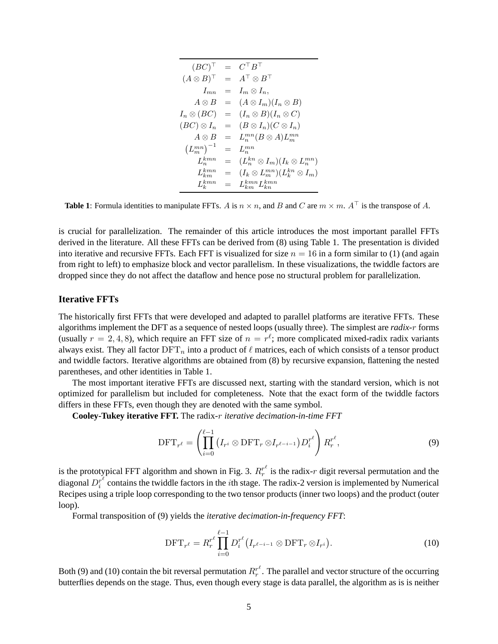$$
(BC)^{\top} = C^{\top}B^{\top}
$$
  
\n
$$
(A \otimes B)^{\top} = A^{\top} \otimes B^{\top}
$$
  
\n
$$
I_{mn} = I_m \otimes I_n,
$$
  
\n
$$
A \otimes B = (A \otimes I_m)(I_n \otimes B)
$$
  
\n
$$
I_n \otimes (BC) = (I_n \otimes B)(I_n \otimes C)
$$
  
\n
$$
(BC) \otimes I_n = (B \otimes I_n)(C \otimes I_n)
$$
  
\n
$$
A \otimes B = L_n^{mn}(B \otimes A)L_m^{mn}
$$
  
\n
$$
(L_m^{mn})^{-1} = L_n^{mn}
$$
  
\n
$$
L_m^{kmn} = (L_m^{kn} \otimes I_m)(I_k \otimes L_m^{mn})
$$
  
\n
$$
L_m^{kmn} = (I_k \otimes L_m^{mn})(L_k^{kn} \otimes I_m)
$$
  
\n
$$
L_k^{kmn} = L_{kmn}^{kmn} L_{km}^{kmn}
$$

**Table 1**: Formula identities to manipulate FFTs. A is  $n \times n$ , and B and C are  $m \times m$ . A<sup>⊤</sup> is the transpose of A.

is crucial for parallelization. The remainder of this article introduces the most important parallel FFTs derived in the literature. All these FFTs can be derived from (8) using Table 1. The presentation is divided into iterative and recursive FFTs. Each FFT is visualized for size  $n = 16$  in a form similar to (1) (and again from right to left) to emphasize block and vector parallelism. In these visualizations, the twiddle factors are dropped since they do not affect the dataflow and hence pose no structural problem for parallelization.

### **Iterative FFTs**

The historically first FFTs that were developed and adapted to parallel platforms are iterative FFTs. These algorithms implement the DFT as a sequence of nested loops (usually three). The simplest are *radix-*r forms (usually  $r = 2, 4, 8$ ), which require an FFT size of  $n = r^{\ell}$ ; more complicated mixed-radix radix variants always exist. They all factor  $\text{DFT}_n$  into a product of  $\ell$  matrices, each of which consists of a tensor product and twiddle factors. Iterative algorithms are obtained from (8) by recursive expansion, flattening the nested parentheses, and other identities in Table 1.

The most important iterative FFTs are discussed next, starting with the standard version, which is not optimized for parallelism but included for completeness. Note that the exact form of the twiddle factors differs in these FFTs, even though they are denoted with the same symbol.

**Cooley-Tukey iterative FFT.** The radix-r *iterative decimation-in-time FFT*

$$
\text{DFT}_{r^{\ell}} = \left(\prod_{i=0}^{\ell-1} \left(I_{r^i} \otimes \text{DFT}_r \otimes I_{r^{\ell-i-1}}\right) D_i^{r^{\ell}}\right) R_r^{r^{\ell}},\tag{9}
$$

is the prototypical FFT algorithm and shown in Fig. 3.  $R_r^{r^{\ell}}$  is the radix-r digit reversal permutation and the diagonal  $D_i^{r^{\ell}}$  $i^{\text{r}}$  contains the twiddle factors in the *i*th stage. The radix-2 version is implemented by Numerical Recipes using a triple loop corresponding to the two tensor products (inner two loops) and the product (outer loop).

Formal transposition of (9) yields the *iterative decimation-in-frequency FFT*:

$$
\text{DFT}_{r^{\ell}} = R_r^{r^{\ell}} \prod_{i=0}^{\ell-1} D_i^{r^{\ell}} \big( I_{r^{\ell-i-1}} \otimes \text{DFT}_r \otimes I_{r^i} \big).
$$
 (10)

Both (9) and (10) contain the bit reversal permutation  $R_r^{r^{\ell}}$ . The parallel and vector structure of the occurring butterflies depends on the stage. Thus, even though every stage is data parallel, the algorithm as is is neither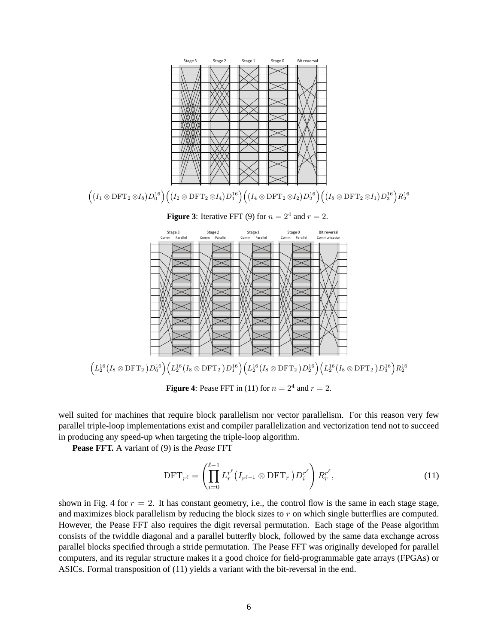

**Figure 4:** Pease FFT in (11) for  $n = 2^4$  and  $r = 2$ .

well suited for machines that require block parallelism nor vector parallelism. For this reason very few parallel triple-loop implementations exist and compiler parallelization and vectorization tend not to succeed in producing any speed-up when targeting the triple-loop algorithm.

**Pease FFT.** A variant of (9) is the *Pease* FFT

$$
\text{DFT}_{r^{\ell}} = \left(\prod_{i=0}^{\ell-1} L_r^{r^{\ell}} \left(I_{r^{\ell-1}} \otimes \text{DFT}_r\right) D_i^{r^{\ell}}\right) R_r^{r^{\ell}},\tag{11}
$$

shown in Fig. 4 for  $r = 2$ . It has constant geometry, i.e., the control flow is the same in each stage stage, and maximizes block parallelism by reducing the block sizes to  $r$  on which single butterflies are computed. However, the Pease FFT also requires the digit reversal permutation. Each stage of the Pease algorithm consists of the twiddle diagonal and a parallel butterfly block, followed by the same data exchange across parallel blocks specified through a stride permutation. The Pease FFT was originally developed for parallel computers, and its regular structure makes it a good choice for field-programmable gate arrays (FPGAs) or ASICs. Formal transposition of (11) yields a variant with the bit-reversal in the end.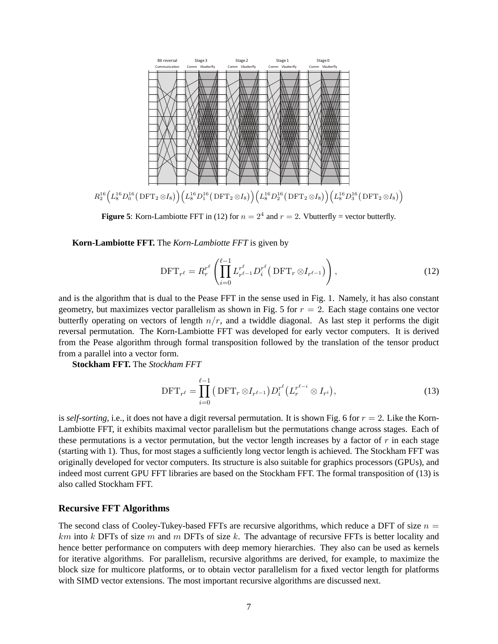

**Figure 5:** Korn-Lambiotte FFT in (12) for  $n = 2<sup>4</sup>$  and  $r = 2$ . Vbutterfly = vector butterfly.

**Korn-Lambiotte FFT.** The *Korn-Lambiotte FFT* is given by

$$
\text{DFT}_{r^{\ell}} = R_r^{r^{\ell}} \left( \prod_{i=0}^{\ell-1} L_{r^{\ell-1}}^{r^{\ell}} D_i^{r^{\ell}} \left( \text{DFT}_r \otimes I_{r^{\ell-1}} \right) \right), \tag{12}
$$

and is the algorithm that is dual to the Pease FFT in the sense used in Fig. 1. Namely, it has also constant geometry, but maximizes vector parallelism as shown in Fig. 5 for  $r = 2$ . Each stage contains one vector butterfly operating on vectors of length  $n/r$ , and a twiddle diagonal. As last step it performs the digit reversal permutation. The Korn-Lambiotte FFT was developed for early vector computers. It is derived from the Pease algorithm through formal transposition followed by the translation of the tensor product from a parallel into a vector form.

**Stockham FFT.** The *Stockham FFT*

$$
\text{DFT}_{r^{\ell}} = \prod_{i=0}^{\ell-1} \left( \text{DFT}_r \otimes I_{r^{\ell-1}} \right) D_i^{r^{\ell}} \left( L_r^{r^{\ell-i}} \otimes I_{r^i} \right),\tag{13}
$$

is *self-sorting*, i.e., it does not have a digit reversal permutation. It is shown Fig. 6 for  $r = 2$ . Like the Korn-Lambiotte FFT, it exhibits maximal vector parallelism but the permutations change across stages. Each of these permutations is a vector permutation, but the vector length increases by a factor of  $r$  in each stage (starting with 1). Thus, for most stages a sufficiently long vector length is achieved. The Stockham FFT was originally developed for vector computers. Its structure is also suitable for graphics processors (GPUs), and indeed most current GPU FFT libraries are based on the Stockham FFT. The formal transposition of (13) is also called Stockham FFT.

#### **Recursive FFT Algorithms**

The second class of Cooley-Tukey-based FFTs are recursive algorithms, which reduce a DFT of size  $n =$  $km$  into k DFTs of size m and m DFTs of size k. The advantage of recursive FFTs is better locality and hence better performance on computers with deep memory hierarchies. They also can be used as kernels for iterative algorithms. For parallelism, recursive algorithms are derived, for example, to maximize the block size for multicore platforms, or to obtain vector parallelism for a fixed vector length for platforms with SIMD vector extensions. The most important recursive algorithms are discussed next.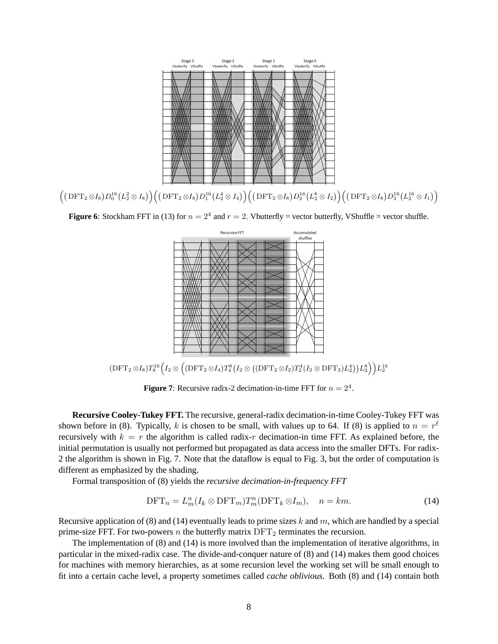

 $\Big(\big(\operatorname{DFT}_2 \otimes I_8\big) D_0^{16} \big(L_2^2 \otimes I_8\big) \Big) \Big( \big(\operatorname{DFT}_2 \otimes I_8\big) D_1^{16} \big(L_2^4 \otimes I_4\big) \Big) \Big( \big(\operatorname{DFT}_2 \otimes I_8\big) D_2^{16} \big(L_2^8 \otimes I_2\big) \Big) \Big( \big(\operatorname{DFT}_2 \otimes I_8\big) D_3^{16} \big(L_2^{16} \otimes I_1\big) \Big)$ 

**Figure 6**: Stockham FFT in (13) for  $n = 2^4$  and  $r = 2$ . Vbutterfly = vector butterfly, VShuffle = vector shuffle.



 $(\mathrm{DFT}_2 \otimes I_8)T_8^{16} \Big( I_2 \otimes \big( (\mathrm{DFT}_2 \otimes I_4)T_4^8 \big( I_2 \otimes \big( (\mathrm{DFT}_2 \otimes I_2)T_2^4(I_2 \otimes \mathrm{DFT}_2) L_2^4 \big) \big) L_2^8 \Big) \Big) L_2^{16}$ 

**Figure 7:** Recursive radix-2 decimation-in-time FFT for  $n = 2^4$ .

**Recursive Cooley-Tukey FFT.** The recursive, general-radix decimation-in-time Cooley-Tukey FFT was shown before in (8). Typically, k is chosen to be small, with values up to 64. If (8) is applied to  $n = r^{\ell}$ recursively with  $k = r$  the algorithm is called radix-r decimation-in time FFT. As explained before, the initial permutation is usually not performed but propagated as data access into the smaller DFTs. For radix-2 the algorithm is shown in Fig. 7. Note that the dataflow is equal to Fig. 3, but the order of computation is different as emphasized by the shading.

Formal transposition of (8) yields the *recursive decimation-in-frequency FFT*

$$
\text{DFT}_n = L_m^n(I_k \otimes \text{DFT}_m) T_m^n(\text{DFT}_k \otimes I_m), \quad n = km. \tag{14}
$$

Recursive application of (8) and (14) eventually leads to prime sizes k and m, which are handled by a special prime-size FFT. For two-powers  $n$  the butterfly matrix  $DFT_2$  terminates the recursion.

The implementation of (8) and (14) is more involved than the implementation of iterative algorithms, in particular in the mixed-radix case. The divide-and-conquer nature of (8) and (14) makes them good choices for machines with memory hierarchies, as at some recursion level the working set will be small enough to fit into a certain cache level, a property sometimes called *cache oblivious*. Both (8) and (14) contain both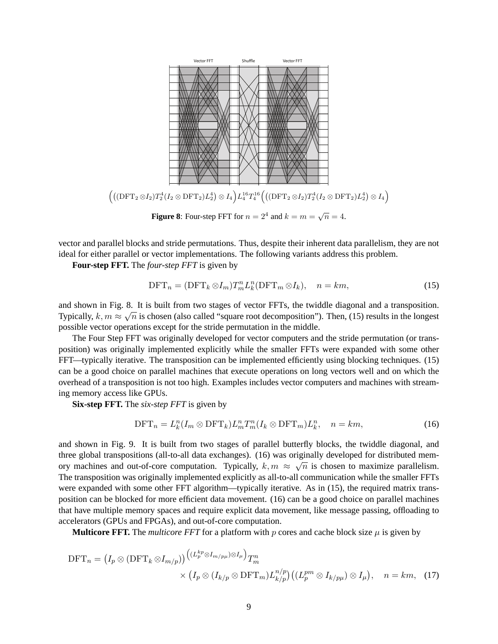

vector and parallel blocks and stride permutations. Thus, despite their inherent data parallelism, they are not ideal for either parallel or vector implementations. The following variants address this problem.

**Four-step FFT.** The *four-step FFT* is given by

$$
\text{DFT}_n = (\text{DFT}_k \otimes I_m) T_m^n L_k^n (\text{DFT}_m \otimes I_k), \quad n = km,
$$
\n(15)

and shown in Fig. 8. It is built from two stages of vector FFTs, the twiddle diagonal and a transposition. Typically,  $k, m \approx \sqrt{n}$  is chosen (also called "square root decomposition"). Then, (15) results in the longest possible vector operations except for the stride permutation in the middle.

The Four Step FFT was originally developed for vector computers and the stride permutation (or transposition) was originally implemented explicitly while the smaller FFTs were expanded with some other FFT—typically iterative. The transposition can be implemented efficiently using blocking techniques. (15) can be a good choice on parallel machines that execute operations on long vectors well and on which the overhead of a transposition is not too high. Examples includes vector computers and machines with streaming memory access like GPUs.

**Six-step FFT.** The *six-step FFT* is given by

$$
\text{DFT}_n = L_k^n(I_m \otimes \text{DFT}_k) L_m^n T_m^n(I_k \otimes \text{DFT}_m) L_k^n, \quad n = km,
$$
\n(16)

and shown in Fig. 9. It is built from two stages of parallel butterfly blocks, the twiddle diagonal, and three global transpositions (all-to-all data exchanges). (16) was originally developed for distributed memory machines and out-of-core computation. Typically,  $k, m \approx \sqrt{n}$  is chosen to maximize parallelism. The transposition was originally implemented explicitly as all-to-all communication while the smaller FFTs were expanded with some other FFT algorithm—typically iterative. As in (15), the required matrix transposition can be blocked for more efficient data movement. (16) can be a good choice on parallel machines that have multiple memory spaces and require explicit data movement, like message passing, offloading to accelerators (GPUs and FPGAs), and out-of-core computation.

**Multicore FFT.** The *multicore FFT* for a platform with p cores and cache block size  $\mu$  is given by

$$
\text{DFT}_n = (I_p \otimes (\text{DFT}_k \otimes I_{m/p})) \frac{((L_p^{kp} \otimes I_{m/p\mu}) \otimes I_{\mu})}{\times (I_p \otimes (I_{k/p} \otimes \text{DFT}_m) L_{k/p}^{n/p}) ((L_p^{pm} \otimes I_{k/p\mu}) \otimes I_{\mu})}, \quad n = km, \quad (17)
$$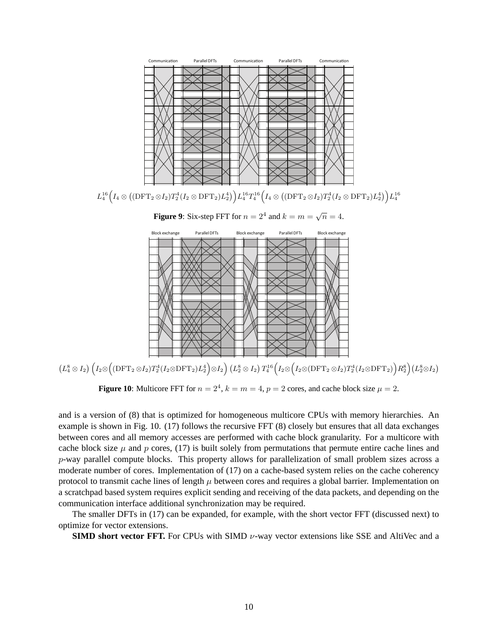



 $\left(L_4^8\otimes I_2\right)\left(I_2\otimes\left(\text{DFT}_2\otimes I_2\right)T_2^4(I_2\otimes\text{DFT}_2)L_2^4\right)\otimes I_2\right)\left(L_2^8\otimes I_2\right)T_4^{16}\left(I_2\otimes\left(I_2\otimes\text{DFT}_2\otimes I_2\right)T_2^4(I_2\otimes\text{DFT}_2)\right)R_2^8\right)\left(L_2^8\otimes I_2\right)T_2^{16}\left(I_2\otimes\left(I_2\otimes\left(\text{DFT}_2\otimes I_2\right)T_2^4(I_2$ 

**Figure 10:** Multicore FFT for  $n = 2^4$ ,  $k = m = 4$ ,  $p = 2$  cores, and cache block size  $\mu = 2$ .

and is a version of (8) that is optimized for homogeneous multicore CPUs with memory hierarchies. An example is shown in Fig. 10. (17) follows the recursive FFT (8) closely but ensures that all data exchanges between cores and all memory accesses are performed with cache block granularity. For a multicore with cache block size  $\mu$  and p cores, (17) is built solely from permutations that permute entire cache lines and p-way parallel compute blocks. This property allows for parallelization of small problem sizes across a moderate number of cores. Implementation of (17) on a cache-based system relies on the cache coherency protocol to transmit cache lines of length  $\mu$  between cores and requires a global barrier. Implementation on a scratchpad based system requires explicit sending and receiving of the data packets, and depending on the communication interface additional synchronization may be required.

The smaller DFTs in (17) can be expanded, for example, with the short vector FFT (discussed next) to optimize for vector extensions.

**SIMD short vector FFT.** For CPUs with SIMD  $\nu$ -way vector extensions like SSE and AltiVec and a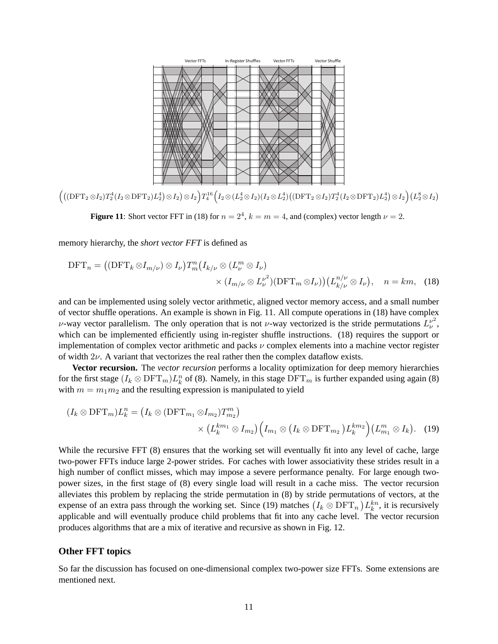

 $\Big(\big((\mathrm{DFT}_2\otimes I_2)T^4_2(I_2\otimes\mathrm{DFT}_2)L_2^4\big)\otimes I_2\Big)T_4^{16}\Big(I_2\otimes (L_2^4\otimes I_2)(I_2\otimes L_2^4)\big((\mathrm{DFT}_2\otimes I_2)T_2^4(I_2\otimes\mathrm{DFT}_2)L_2^4\big)\otimes I_2\Big)(L_2^8\otimes I_2)T_4^{16}\Big(I_2\otimes (L_2^4\otimes I_2)T_2^4(I_2\otimes\mathrm{DFT}_2)L_2^4\Big)\Big)T_2^{16}\Big(I_2$ 

**Figure 11:** Short vector FFT in (18) for  $n = 2^4$ ,  $k = m = 4$ , and (complex) vector length  $\nu = 2$ .

memory hierarchy, the *short vector FFT* is defined as

$$
\text{DFT}_n = ((\text{DFT}_k \otimes I_{m/\nu}) \otimes I_{\nu}) T_m^n (I_{k/\nu} \otimes (L_{\nu}^m \otimes I_{\nu}) \times (I_{m/\nu} \otimes L_{\nu}^{\nu^2}) (\text{DFT}_m \otimes I_{\nu})) (L_{k/\nu}^{n/\nu} \otimes I_{\nu}), \quad n = km, \quad (18)
$$

and can be implemented using solely vector arithmetic, aligned vector memory access, and a small number of vector shuffle operations. An example is shown in Fig. 11. All compute operations in (18) have complex ν-way vector parallelism. The only operation that is not ν-way vectorized is the stride permutations  $L_v^{\nu^2}$  $_{\nu}^{\nu}$ , which can be implemented efficiently using in-register shuffle instructions. (18) requires the support or implementation of complex vector arithmetic and packs  $\nu$  complex elements into a machine vector register of width  $2\nu$ . A variant that vectorizes the real rather then the complex dataflow exists.

**Vector recursion.** The *vector recursion* performs a locality optimization for deep memory hierarchies for the first stage  $(I_k \otimes DFT_m)L_k^n$  of (8). Namely, in this stage  $DFT_m$  is further expanded using again (8) with  $m = m_1 m_2$  and the resulting expression is manipulated to yield

$$
(I_k \otimes \text{DFT}_m)L_k^n = (I_k \otimes (\text{DFT}_{m_1} \otimes I_{m_2})T_{m_2}^m)
$$

$$
\times (L_k^{km_1} \otimes I_{m_2}) (I_{m_1} \otimes (I_k \otimes \text{DFT}_{m_2})L_k^{km_2}) (L_{m_1}^m \otimes I_k). \quad (19)
$$

While the recursive FFT (8) ensures that the working set will eventually fit into any level of cache, large two-power FFTs induce large 2-power strides. For caches with lower associativity these strides result in a high number of conflict misses, which may impose a severe performance penalty. For large enough twopower sizes, in the first stage of (8) every single load will result in a cache miss. The vector recursion alleviates this problem by replacing the stride permutation in (8) by stride permutations of vectors, at the expense of an extra pass through the working set. Since (19) matches  $(I_k \otimes DFT_n) L_k^{kn}$ , it is recursively applicable and will eventually produce child problems that fit into any cache level. The vector recursion produces algorithms that are a mix of iterative and recursive as shown in Fig. 12.

### **Other FFT topics**

So far the discussion has focused on one-dimensional complex two-power size FFTs. Some extensions are mentioned next.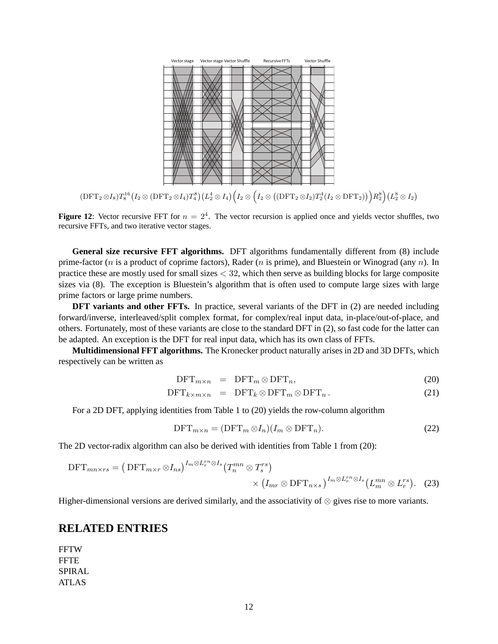

 $(\mathrm{DFT}_2\otimes I_8)T_8^{16}(I_2\otimes (\mathrm{DFT}_2\otimes I_4)T_4^8)\bigl(L_2^4\otimes I_4\bigr)\Bigl(I_2\otimes \Bigl(I_2\otimes \bigl([\mathrm{DFT}_2\otimes I_2)T_2^4(I_2\otimes \mathrm{DFT}_2)\bigr)\Bigr)R_2^8\Bigr)(L_2^8\otimes I_2)$ 

**Figure 12**: Vector recursive FFT for  $n = 2<sup>4</sup>$ . The vector recursion is applied once and yields vector shuffles, two recursive FFTs, and two iterative vector stages.

**General size recursive FFT algorithms.** DFT algorithms fundamentally different from (8) include prime-factor (*n* is a product of coprime factors), Rader (*n* is prime), and Bluestein or Winograd (any *n*). In practice these are mostly used for small sizes  $<$  32, which then serve as building blocks for large composite sizes via (8). The exception is Bluestein's algorithm that is often used to compute large sizes with large prime factors or large prime numbers.

**DFT variants and other FFTs.** In practice, several variants of the DFT in (2) are needed including forward/inverse, interleaved/split complex format, for complex/real input data, in-place/out-of-place, and others. Fortunately, most of these variants are close to the standard DFT in (2), so fast code for the latter can be adapted. An exception is the DFT for real input data, which has its own class of FFTs.

**Multidimensional FFT algorithms.** The Kronecker product naturally arises in 2D and 3D DFTs, which respectively can be written as

$$
DFT_{m \times n} = DFT_m \otimes DFT_n, \qquad (20)
$$

$$
\text{DFT}_{k \times m \times n} = \text{DFT}_k \otimes \text{DFT}_m \otimes \text{DFT}_n. \tag{21}
$$

For a 2D DFT, applying identities from Table 1 to (20) yields the row-column algorithm

$$
\text{DFT}_{m \times n} = (\text{DFT}_m \otimes I_n)(I_m \otimes \text{DFT}_n). \tag{22}
$$

The 2D vector-radix algorithm can also be derived with identities from Table 1 from (20):

$$
\text{DFT}_{mn \times rs} = \left( \text{DFT}_{m \times r} \otimes I_{ns} \right)^{I_m \otimes L_r^{rn} \otimes I_s} \left( T_n^{mn} \otimes T_s^{rs} \right) \times \left( I_{mr} \otimes \text{DFT}_{n \times s} \right)^{I_m \otimes L_r^{rn} \otimes I_s} \left( L_m^{mn} \otimes L_r^{rs} \right). \tag{23}
$$

Higher-dimensional versions are derived similarly, and the associativity of ⊗ gives rise to more variants.

## **RELATED ENTRIES**

**FFTW** FFTE SPIRAL ATLAS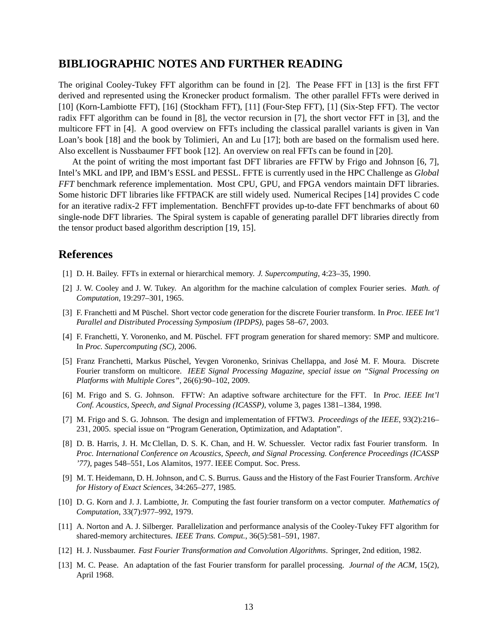## **BIBLIOGRAPHIC NOTES AND FURTHER READING**

The original Cooley-Tukey FFT algorithm can be found in [2]. The Pease FFT in [13] is the first FFT derived and represented using the Kronecker product formalism. The other parallel FFTs were derived in [10] (Korn-Lambiotte FFT), [16] (Stockham FFT), [11] (Four-Step FFT), [1] (Six-Step FFT). The vector radix FFT algorithm can be found in [8], the vector recursion in [7], the short vector FFT in [3], and the multicore FFT in [4]. A good overview on FFTs including the classical parallel variants is given in Van Loan's book [18] and the book by Tolimieri, An and Lu [17]; both are based on the formalism used here. Also excellent is Nussbaumer FFT book [12]. An overview on real FFTs can be found in [20].

At the point of writing the most important fast DFT libraries are FFTW by Frigo and Johnson [6, 7], Intel's MKL and IPP, and IBM's ESSL and PESSL. FFTE is currently used in the HPC Challenge as *Global FFT* benchmark reference implementation. Most CPU, GPU, and FPGA vendors maintain DFT libraries. Some historic DFT libraries like FFTPACK are still widely used. Numerical Recipes [14] provides C code for an iterative radix-2 FFT implementation. BenchFFT provides up-to-date FFT benchmarks of about 60 single-node DFT libraries. The Spiral system is capable of generating parallel DFT libraries directly from the tensor product based algorithm description [19, 15].

## **References**

- [1] D. H. Bailey. FFTs in external or hierarchical memory. *J. Supercomputing*, 4:23–35, 1990.
- [2] J. W. Cooley and J. W. Tukey. An algorithm for the machine calculation of complex Fourier series. *Math. of Computation*, 19:297–301, 1965.
- [3] F. Franchetti and M Püschel. Short vector code generation for the discrete Fourier transform. In *Proc. IEEE Int'l Parallel and Distributed Processing Symposium (IPDPS)*, pages 58–67, 2003.
- [4] F. Franchetti, Y. Voronenko, and M. Püschel. FFT program generation for shared memory: SMP and multicore. In *Proc. Supercomputing (SC)*, 2006.
- [5] Franz Franchetti, Markus Püschel, Yevgen Voronenko, Srinivas Chellappa, and José M. F. Moura. Discrete Fourier transform on multicore. *IEEE Signal Processing Magazine, special issue on "Signal Processing on Platforms with Multiple Cores"*, 26(6):90–102, 2009.
- [6] M. Frigo and S. G. Johnson. FFTW: An adaptive software architecture for the FFT. In *Proc. IEEE Int'l Conf. Acoustics, Speech, and Signal Processing (ICASSP)*, volume 3, pages 1381–1384, 1998.
- [7] M. Frigo and S. G. Johnson. The design and implementation of FFTW3. *Proceedings of the IEEE*, 93(2):216– 231, 2005. special issue on "Program Generation, Optimization, and Adaptation".
- [8] D. B. Harris, J. H. Mc Clellan, D. S. K. Chan, and H. W. Schuessler. Vector radix fast Fourier transform. In *Proc. International Conference on Acoustics, Speech, and Signal Processing. Conference Proceedings (ICASSP '77)*, pages 548–551, Los Alamitos, 1977. IEEE Comput. Soc. Press.
- [9] M. T. Heidemann, D. H. Johnson, and C. S. Burrus. Gauss and the History of the Fast Fourier Transform. *Archive for History of Exact Sciences*, 34:265–277, 1985.
- [10] D. G. Korn and J. J. Lambiotte, Jr. Computing the fast fourier transform on a vector computer. *Mathematics of Computation*, 33(7):977–992, 1979.
- [11] A. Norton and A. J. Silberger. Parallelization and performance analysis of the Cooley-Tukey FFT algorithm for shared-memory architectures. *IEEE Trans. Comput.*, 36(5):581–591, 1987.
- [12] H. J. Nussbaumer. *Fast Fourier Transformation and Convolution Algorithms*. Springer, 2nd edition, 1982.
- [13] M. C. Pease. An adaptation of the fast Fourier transform for parallel processing. *Journal of the ACM*, 15(2), April 1968.